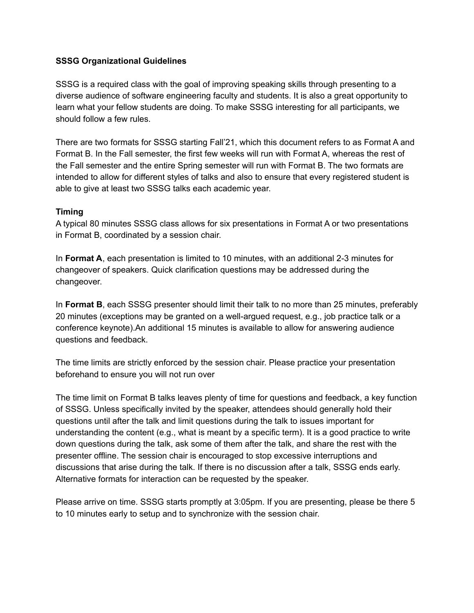### **SSSG Organizational Guidelines**

SSSG is a required class with the goal of improving speaking skills through presenting to a diverse audience of software engineering faculty and students. It is also a great opportunity to learn what your fellow students are doing. To make SSSG interesting for all participants, we should follow a few rules.

There are two formats for SSSG starting Fall'21, which this document refers to as Format A and Format B. In the Fall semester, the first few weeks will run with Format A, whereas the rest of the Fall semester and the entire Spring semester will run with Format B. The two formats are intended to allow for different styles of talks and also to ensure that every registered student is able to give at least two SSSG talks each academic year.

### **Timing**

A typical 80 minutes SSSG class allows for six presentations in Format A or two presentations in Format B, coordinated by a session chair.

In **Format A**, each presentation is limited to 10 minutes, with an additional 2-3 minutes for changeover of speakers. Quick clarification questions may be addressed during the changeover.

In **Format B**, each SSSG presenter should limit their talk to no more than 25 minutes, preferably 20 minutes (exceptions may be granted on a well-argued request, e.g., job practice talk or a conference keynote).An additional 15 minutes is available to allow for answering audience questions and feedback.

The time limits are strictly enforced by the session chair. Please practice your presentation beforehand to ensure you will not run over

The time limit on Format B talks leaves plenty of time for questions and feedback, a key function of SSSG. Unless specifically invited by the speaker, attendees should generally hold their questions until after the talk and limit questions during the talk to issues important for understanding the content (e.g., what is meant by a specific term). It is a good practice to write down questions during the talk, ask some of them after the talk, and share the rest with the presenter offline. The session chair is encouraged to stop excessive interruptions and discussions that arise during the talk. If there is no discussion after a talk, SSSG ends early. Alternative formats for interaction can be requested by the speaker.

Please arrive on time. SSSG starts promptly at 3:05pm. If you are presenting, please be there 5 to 10 minutes early to setup and to synchronize with the session chair.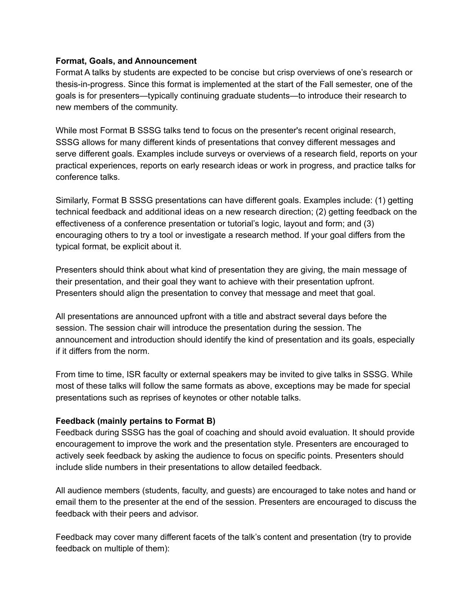### **Format, Goals, and Announcement**

Format A talks by students are expected to be concise but crisp overviews of one's research or thesis-in-progress. Since this format is implemented at the start of the Fall semester, one of the goals is for presenters—typically continuing graduate students—to introduce their research to new members of the community.

While most Format B SSSG talks tend to focus on the presenter's recent original research, SSSG allows for many different kinds of presentations that convey different messages and serve different goals. Examples include surveys or overviews of a research field, reports on your practical experiences, reports on early research ideas or work in progress, and practice talks for conference talks.

Similarly, Format B SSSG presentations can have different goals. Examples include: (1) getting technical feedback and additional ideas on a new research direction; (2) getting feedback on the effectiveness of a conference presentation or tutorial's logic, layout and form; and (3) encouraging others to try a tool or investigate a research method. If your goal differs from the typical format, be explicit about it.

Presenters should think about what kind of presentation they are giving, the main message of their presentation, and their goal they want to achieve with their presentation upfront. Presenters should align the presentation to convey that message and meet that goal.

All presentations are announced upfront with a title and abstract several days before the session. The session chair will introduce the presentation during the session. The announcement and introduction should identify the kind of presentation and its goals, especially if it differs from the norm.

From time to time, ISR faculty or external speakers may be invited to give talks in SSSG. While most of these talks will follow the same formats as above, exceptions may be made for special presentations such as reprises of keynotes or other notable talks.

### **Feedback (mainly pertains to Format B)**

Feedback during SSSG has the goal of coaching and should avoid evaluation. It should provide encouragement to improve the work and the presentation style. Presenters are encouraged to actively seek feedback by asking the audience to focus on specific points. Presenters should include slide numbers in their presentations to allow detailed feedback.

All audience members (students, faculty, and guests) are encouraged to take notes and hand or email them to the presenter at the end of the session. Presenters are encouraged to discuss the feedback with their peers and advisor.

Feedback may cover many different facets of the talk's content and presentation (try to provide feedback on multiple of them):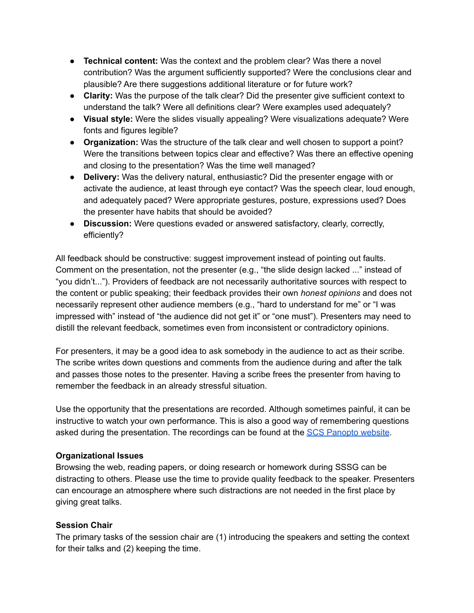- **Technical content:** Was the context and the problem clear? Was there a novel contribution? Was the argument sufficiently supported? Were the conclusions clear and plausible? Are there suggestions additional literature or for future work?
- **Clarity:** Was the purpose of the talk clear? Did the presenter give sufficient context to understand the talk? Were all definitions clear? Were examples used adequately?
- **Visual style:** Were the slides visually appealing? Were visualizations adequate? Were fonts and figures legible?
- **Organization:** Was the structure of the talk clear and well chosen to support a point? Were the transitions between topics clear and effective? Was there an effective opening and closing to the presentation? Was the time well managed?
- **Delivery:** Was the delivery natural, enthusiastic? Did the presenter engage with or activate the audience, at least through eye contact? Was the speech clear, loud enough, and adequately paced? Were appropriate gestures, posture, expressions used? Does the presenter have habits that should be avoided?
- **● Discussion:** Were questions evaded or answered satisfactory, clearly, correctly, efficiently?

All feedback should be constructive: suggest improvement instead of pointing out faults. Comment on the presentation, not the presenter (e.g., "the slide design lacked ..." instead of "you didn't..."). Providers of feedback are not necessarily authoritative sources with respect to the content or public speaking; their feedback provides their own *honest opinions* and does not necessarily represent other audience members (e.g., "hard to understand for me" or "I was impressed with" instead of "the audience did not get it" or "one must")*.* Presenters may need to distill the relevant feedback, sometimes even from inconsistent or contradictory opinions.

For presenters, it may be a good idea to ask somebody in the audience to act as their scribe. The scribe writes down questions and comments from the audience during and after the talk and passes those notes to the presenter. Having a scribe frees the presenter from having to remember the feedback in an already stressful situation.

Use the opportunity that the presentations are recorded. Although sometimes painful, it can be instructive to watch your own performance. This is also a good way of remembering questions asked during the presentation. The recordings can be found at the SCS [Panopto](https://scs.hosted.panopto.com/Panopto/Pages/Sessions/List.aspx#folderID=%2223c84872-1399-4c7c-a0c4-0b5bb1e412c3%22) website.

# **Organizational Issues**

Browsing the web, reading papers, or doing research or homework during SSSG can be distracting to others. Please use the time to provide quality feedback to the speaker. Presenters can encourage an atmosphere where such distractions are not needed in the first place by giving great talks.

# **Session Chair**

The primary tasks of the session chair are (1) introducing the speakers and setting the context for their talks and (2) keeping the time.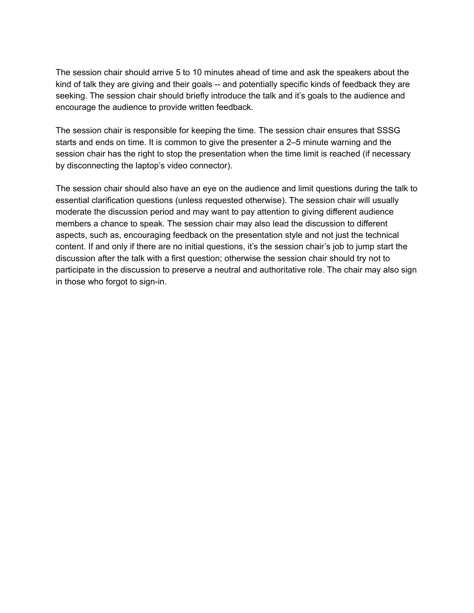The session chair should arrive 5 to 10 minutes ahead of time and ask the speakers about the kind of talk they are giving and their goals -- and potentially specific kinds of feedback they are seeking. The session chair should briefly introduce the talk and it's goals to the audience and encourage the audience to provide written feedback.

The session chair is responsible for keeping the time. The session chair ensures that SSSG starts and ends on time. It is common to give the presenter a 2–5 minute warning and the session chair has the right to stop the presentation when the time limit is reached (if necessary by disconnecting the laptop's video connector).

The session chair should also have an eye on the audience and limit questions during the talk to essential clarification questions (unless requested otherwise). The session chair will usually moderate the discussion period and may want to pay attention to giving different audience members a chance to speak. The session chair may also lead the discussion to different aspects, such as, encouraging feedback on the presentation style and not just the technical content. If and only if there are no initial questions, it's the session chair's job to jump start the discussion after the talk with a first question; otherwise the session chair should try not to participate in the discussion to preserve a neutral and authoritative role. The chair may also sign in those who forgot to sign-in.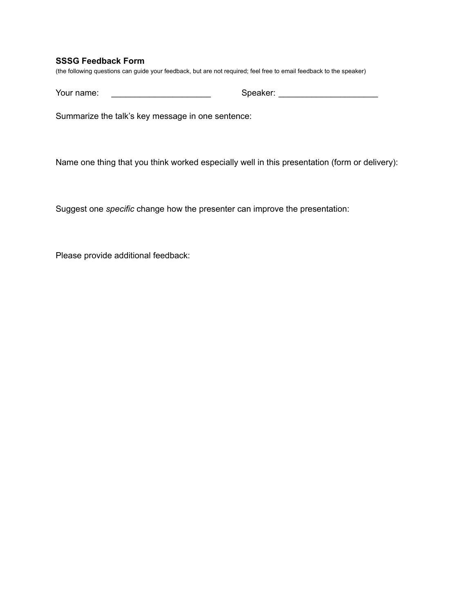#### **SSSG Feedback Form**

(the following questions can guide your feedback, but are not required; feel free to email feedback to the speaker)

Your name: \_\_\_\_\_\_\_\_\_\_\_\_\_\_\_\_\_\_\_\_\_\_\_\_\_\_\_ Speaker: \_\_\_\_\_\_\_\_\_\_\_\_\_\_\_\_\_\_\_\_\_\_\_\_\_\_\_\_\_\_\_\_

Summarize the talk's key message in one sentence:

Name one thing that you think worked especially well in this presentation (form or delivery):

Suggest one *specific* change how the presenter can improve the presentation:

Please provide additional feedback: